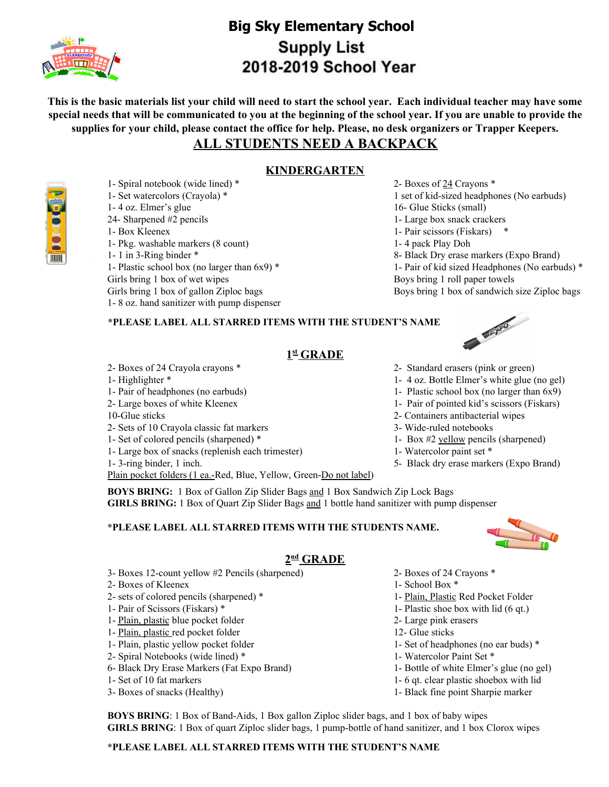

# **Big Sky Elementary School Supply List** 2018-2019 School Year

This is the basic materials list your child will need to start the school year. Each individual teacher may have some special needs that will be communicated to you at the beginning of the school year. If you are unable to provide the supplies for your child, please contact the office for help. Please, no desk organizers or Trapper Keepers.

## **ALL STUDENTS NEED A BACKPACK**

### **KINDERGARTEN**

1- Spiral notebook (wide lined) \* 2- Boxes of 24 Crayons \* 1- Set watercolors (Crayola) \* 1 set of kid-sized headphones (No earbuds) 1- 4 oz. Elmer's glue 16- Glue Sticks (small) 24- Sharpened #2 pencils 1- Large box snack crackers 1- Box Kleenex 1- Pair scissors (Fiskars) \* 1- Pkg. washable markers (8 count) 1- 4 pack Play Doh 1- 1 in 3-Ring binder \* 8- Black Dry erase markers (Expo Brand) 1- Plastic school box (no larger than 6x9) \* 1- Pair of kid sized Headphones (No earbuds) \* Girls bring 1 box of wet wipes Boys bring 1 roll paper towels Girls bring 1 box of gallon Ziploc bags Boys bring 1 box of sandwich size Ziploc bags

### **\*PLEASE LABEL ALL STARRED ITEMS WITH THE STUDENT'S NAME**

## **1 st GRADE**

- 
- 
- 1- Pair of headphones (no earbuds) 1- Plastic school box (no larger than 6x9)
- 
- 
- 2- Sets of 10 Crayola classic fat markers 3- Wide-ruled notebooks

1- 8 oz. hand sanitizer with pump dispenser

- 1- Set of colored pencils (sharpened) \* 1- Box #2 yellow pencils (sharpened)
- 1- Large box of snacks (replenish each trimester) 1- Watercolor paint set \*

Plain pocket folders (1 ea.-Red, Blue, Yellow, Green-Do not label)

**BOYS BRING:** 1 Box of Gallon Zip Slider Bags and 1 Box Sandwich Zip Lock Bags **GIRLS BRING:** 1 Box of Quart Zip Slider Bags and 1 bottle hand sanitizer with pump dispenser

#### **\*PLEASE LABEL ALL STARRED ITEMS WITH THE STUDENTS NAME.**



## **2 nd GRADE**

- 3- Boxes 12-count yellow #2 Pencils (sharpened) 2- Boxes of 24 Crayons \*
- 2- Boxes of Kleenex 1- School Box \*
- 2- sets of colored pencils (sharpened) \* 1- Plain, Plastic Red Pocket Folder
- 
- 1- Plain, plastic blue pocket folder 2- Large pink erasers
- 1- Plain, plastic red pocket folder 12- Glue sticks
- 
- 2- Spiral Notebooks (wide lined) \* 1- Watercolor Paint Set \*
- 6- Black Dry Erase Markers (Fat Expo Brand) 1- Bottle of white Elmer's glue (no gel)
- 
- 
- 
- 
- 
- 1- Pair of Scissors (Fiskars) \* 1- Plastic shoe box with lid (6 qt.)
	-
	-
- 1- Plain, plastic yellow pocket folder 1- Set of headphones (no ear buds) \*
	-
	-
- 1- Set of 10 fat markers 1- 6 qt. clear plastic shoebox with lid
- 3- Boxes of snacks (Healthy) 1- Black fine point Sharpie marker

**BOYS BRING**: 1 Box of Band-Aids, 1 Box gallon Ziploc slider bags, and 1 box of baby wipes **GIRLS BRING**: 1 Box of quart Ziploc slider bags, 1 pump-bottle of hand sanitizer, and 1 box Clorox wipes

#### **\*PLEASE LABEL ALL STARRED ITEMS WITH THE STUDENT'S NAME**

TITTITT

- C. P. PO
- 2- Boxes of 24 Crayola crayons \* 2- Standard erasers (pink or green)
- 1- Highlighter \* 1- 4 oz. Bottle Elmer's white glue (no gel)
	-
- 2- Large boxes of white Kleenex 1- Pair of pointed kid's scissors (Fiskars)
- 10-Glue sticks 2- Containers antibacterial wipes
	-
	-
	-
- 1- 3-ring binder, 1 inch. 5- Black dry erase markers (Expo Brand)
-